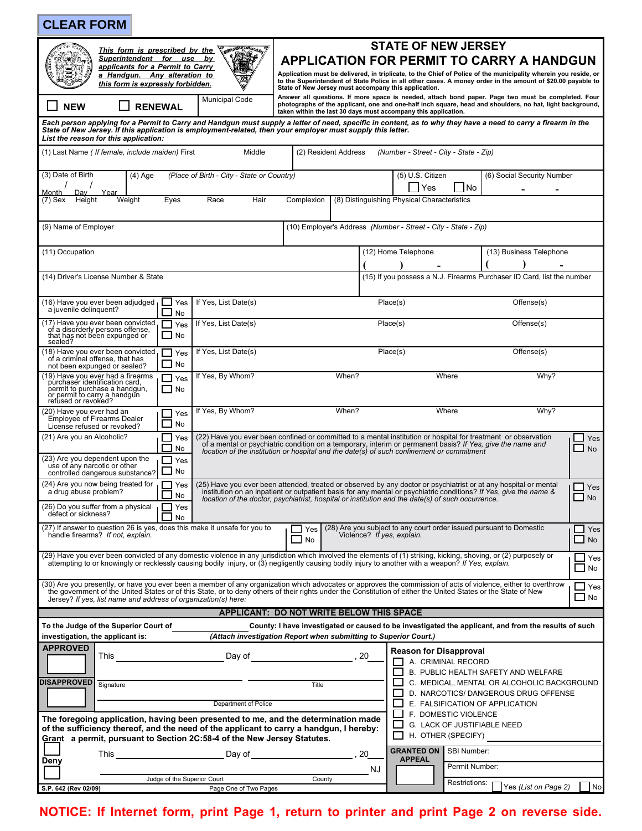| <b>CLEAR FORM</b>                                                                                                                                                                                                                                                                                                                                                                                  |                                                                                                                                                                                                                                                                                                                                                                          |                                                                           |                                                                                   |                           |
|----------------------------------------------------------------------------------------------------------------------------------------------------------------------------------------------------------------------------------------------------------------------------------------------------------------------------------------------------------------------------------------------------|--------------------------------------------------------------------------------------------------------------------------------------------------------------------------------------------------------------------------------------------------------------------------------------------------------------------------------------------------------------------------|---------------------------------------------------------------------------|-----------------------------------------------------------------------------------|---------------------------|
| <b>CONSTRUCTION</b><br>This form is prescribed by the<br>Superintendent for use by<br>applicants for a Permit to Carry<br>a Handgun. Any alteration to<br>this form is expressly forbidden.                                                                                                                                                                                                        | <b>STATE OF NEW JERSEY</b><br><b>APPLICATION FOR PERMIT TO CARRY A HANDGUN</b><br>Application must be delivered, in triplicate, to the Chief of Police of the municipality wherein you reside, or<br>to the Superintendent of State Police in all other cases. A money order in the amount of \$20.00 payable to<br>State of New Jersey must accompany this application. |                                                                           |                                                                                   |                           |
| <b>Municipal Code</b><br><b>RENEWAL</b><br><b>NEW</b>                                                                                                                                                                                                                                                                                                                                              | Answer all questions. If more space is needed, attach bond paper. Page two must be completed. Four<br>photographs of the applicant, one and one-half inch square, head and shoulders, no hat, light background,<br>taken within the last 30 days must accompany this application.                                                                                        |                                                                           |                                                                                   |                           |
| Each person applying for a Permit to Carry and Handgun must supply a letter of need, specific in content, as to why they have a need to carry a firearm in the<br>State of New Jersey. If this application is employment-related, then your employer must supply this letter.<br>List the reason for this application:                                                                             |                                                                                                                                                                                                                                                                                                                                                                          |                                                                           |                                                                                   |                           |
| (1) Last Name ( If female, include maiden) First<br>Middle                                                                                                                                                                                                                                                                                                                                         | (2) Resident Address                                                                                                                                                                                                                                                                                                                                                     | (Number - Street - City - State - Zip)                                    |                                                                                   |                           |
| (3) Date of Birth<br>(Place of Birth - City - State or Country)<br>$(4)$ Age<br>Month<br>Dav<br>Year                                                                                                                                                                                                                                                                                               |                                                                                                                                                                                                                                                                                                                                                                          | (5) U.S. Citizen<br>l No<br>Yes                                           | (6) Social Security Number                                                        |                           |
| Race<br>(7) Sex<br>Height<br>Weight<br>Eyes<br>Hair                                                                                                                                                                                                                                                                                                                                                | Complexion                                                                                                                                                                                                                                                                                                                                                               | (8) Distinguishing Physical Characteristics                               |                                                                                   |                           |
| (9) Name of Employer                                                                                                                                                                                                                                                                                                                                                                               |                                                                                                                                                                                                                                                                                                                                                                          | (10) Employer's Address (Number - Street - City - State - Zip)            |                                                                                   |                           |
| (11) Occupation                                                                                                                                                                                                                                                                                                                                                                                    |                                                                                                                                                                                                                                                                                                                                                                          | (12) Home Telephone                                                       | (13) Business Telephone                                                           |                           |
| (14) Driver's License Number & State                                                                                                                                                                                                                                                                                                                                                               |                                                                                                                                                                                                                                                                                                                                                                          | (15) If you possess a N.J. Firearms Purchaser ID Card, list the number    |                                                                                   |                           |
| (16) Have you ever been adjudged<br>⊿ Yes<br>If Yes, List Date(s)<br>a juvenile delinquent?<br>No                                                                                                                                                                                                                                                                                                  |                                                                                                                                                                                                                                                                                                                                                                          | Place(s)                                                                  | Offense(s)                                                                        |                           |
| (17) Have you ever been convicted,<br>If Yes, List Date(s)<br>Yes<br>of a disorderly persons offense,<br>that has not been expunged or<br>$\Box$ No<br>sealed?                                                                                                                                                                                                                                     | Offense(s)<br>Place(s)                                                                                                                                                                                                                                                                                                                                                   |                                                                           |                                                                                   |                           |
| (18) Have you ever been convicted,<br>If Yes, List Date(s)<br>$\Box$ Yes<br>of a criminal offense, that has<br>No<br>not been expunged or sealed?                                                                                                                                                                                                                                                  |                                                                                                                                                                                                                                                                                                                                                                          | Place(s)                                                                  | Offense(s)                                                                        |                           |
| (19) Have you ever had a firearms<br>purchaser identification card,<br>If Yes, By Whom?<br>$\Box$ Yes<br>permit to purchase a handgun,<br>or permit to carry a handgun<br>$\Box$ No<br>refused or revoked?                                                                                                                                                                                         | When?                                                                                                                                                                                                                                                                                                                                                                    | Where                                                                     | Why?                                                                              |                           |
| If Yes, By Whom?<br>(20) Have you ever had an<br>Yes<br>Employee of Firearms Dealer<br>No<br>License refused or revoked?                                                                                                                                                                                                                                                                           | When?                                                                                                                                                                                                                                                                                                                                                                    | Where                                                                     | Why?                                                                              |                           |
| (21) Are you an Alcoholic?<br>Yes<br>No                                                                                                                                                                                                                                                                                                                                                            | (22) Have you ever been confined or committed to a mental institution or hospital for treatment or observation<br>of a mental or psychiatric condition on a temporary, interim or permanent basis? If Yes, give the name and<br>location of the institution or hospital and the date(s) of such confinement or commitment                                                |                                                                           |                                                                                   | Yes<br><b>No</b>          |
| (23) Are you dependent upon the<br>Yes<br>use of any narcotic or other<br>No<br>controlled dangerous substance?                                                                                                                                                                                                                                                                                    |                                                                                                                                                                                                                                                                                                                                                                          |                                                                           |                                                                                   |                           |
| (24) Are you now being treated for<br>Yes<br>a drug abuse problem?<br>No                                                                                                                                                                                                                                                                                                                           | (25) Have you ever been attended, treated or observed by any doctor or psychiatrist or at any hospital or mental<br>$\sqcup$ Yes<br>institution on an inpatient or outpatient basis for any mental or psychiatric conditions? If Yes, give the name &<br>$\Box$ No<br>location of the doctor, psychiatrist, hospital or institution and the date(s) of such occurrence.  |                                                                           |                                                                                   |                           |
| (26) Do you suffer from a physical<br>Yes<br>defect or sickness?<br><b>No</b><br>(27) If answer to question 26 is yes, does this make it unsafe for you to                                                                                                                                                                                                                                         | $\Box$ Yes                                                                                                                                                                                                                                                                                                                                                               | (28) Are you subject to any court order issued pursuant to Domestic       |                                                                                   | $\Box$ Yes                |
| handle firearms? If not, explain.                                                                                                                                                                                                                                                                                                                                                                  | <b>No</b>                                                                                                                                                                                                                                                                                                                                                                | Violence? If yes, explain.                                                |                                                                                   | $\Box$ No                 |
| (29) Have you ever been convicted of any domestic violence in any jurisdiction which involved the elements of (1) striking, kicking, shoving, or (2) purposely or<br>attempting to or knowingly or recklessly causing bodily injury, or (3) negligently causing bodily injury to another with a weapon? If Yes, explain.                                                                           |                                                                                                                                                                                                                                                                                                                                                                          |                                                                           |                                                                                   | Yes<br>$\Box$ No          |
| (30) Are you presently, or have you ever been a member of any organization which advocates or approves the commission of acts of violence, either to overthrow<br>the government of the United States or of this State, or to deny others of their rights under the Constitution of either the United States or the State of New<br>Jersey? If yes, list name and address of organization(s) here: |                                                                                                                                                                                                                                                                                                                                                                          |                                                                           |                                                                                   | $\sqcup$ Yes<br>$\Box$ No |
|                                                                                                                                                                                                                                                                                                                                                                                                    | APPLICANT: DO NOT WRITE BELOW THIS SPACE                                                                                                                                                                                                                                                                                                                                 |                                                                           |                                                                                   |                           |
| To the Judge of the Superior Court of                                                                                                                                                                                                                                                                                                                                                              | County: I have investigated or caused to be investigated the applicant, and from the results of such                                                                                                                                                                                                                                                                     |                                                                           |                                                                                   |                           |
| investigation, the applicant is:<br><b>APPROVED</b>                                                                                                                                                                                                                                                                                                                                                | (Attach investigation Report when submitting to Superior Court.)                                                                                                                                                                                                                                                                                                         | <b>Reason for Disapproval</b>                                             |                                                                                   |                           |
|                                                                                                                                                                                                                                                                                                                                                                                                    |                                                                                                                                                                                                                                                                                                                                                                          | A. CRIMINAL RECORD                                                        |                                                                                   |                           |
| <b>DISAPPROVED</b>                                                                                                                                                                                                                                                                                                                                                                                 |                                                                                                                                                                                                                                                                                                                                                                          |                                                                           | B. PUBLIC HEALTH SAFETY AND WELFARE<br>C. MEDICAL, MENTAL OR ALCOHOLIC BACKGROUND |                           |
| Signature                                                                                                                                                                                                                                                                                                                                                                                          | Title                                                                                                                                                                                                                                                                                                                                                                    |                                                                           | D. NARCOTICS/ DANGEROUS DRUG OFFENSE                                              |                           |
| Department of Police                                                                                                                                                                                                                                                                                                                                                                               |                                                                                                                                                                                                                                                                                                                                                                          | E. FALSIFICATION OF APPLICATION                                           |                                                                                   |                           |
| The foregoing application, having been presented to me, and the determination made<br>of the sufficiency thereof, and the need of the applicant to carry a handgun, I hereby:<br>Grant a permit, pursuant to Section 2C:58-4 of the New Jersey Statutes.                                                                                                                                           |                                                                                                                                                                                                                                                                                                                                                                          | F. DOMESTIC VIOLENCE<br>G. LACK OF JUSTIFIABLE NEED<br>H. OTHER (SPECIFY) |                                                                                   |                           |
|                                                                                                                                                                                                                                                                                                                                                                                                    |                                                                                                                                                                                                                                                                                                                                                                          | <b>GRANTED ON   SBI Number:</b>                                           |                                                                                   |                           |
| Deny                                                                                                                                                                                                                                                                                                                                                                                               | NJ                                                                                                                                                                                                                                                                                                                                                                       | <b>APPEAL</b><br>Permit Number:                                           |                                                                                   |                           |
| Judge of the Superior Court                                                                                                                                                                                                                                                                                                                                                                        | County                                                                                                                                                                                                                                                                                                                                                                   | Restrictions:                                                             |                                                                                   |                           |
| S.P. 642 (Rev 02/09)<br>Page One of Two Pages                                                                                                                                                                                                                                                                                                                                                      |                                                                                                                                                                                                                                                                                                                                                                          |                                                                           | Yes (List on Page 2)                                                              | No                        |
| NOTICE: If Internet form, print Page 1, return to printer and print Page 2 on reverse side.                                                                                                                                                                                                                                                                                                        |                                                                                                                                                                                                                                                                                                                                                                          |                                                                           |                                                                                   |                           |